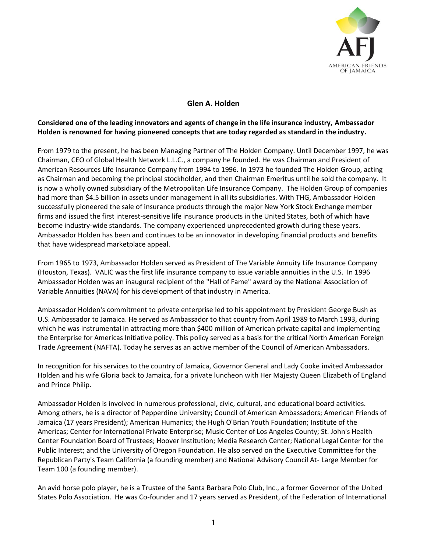

## **Glen A. Holden**

## **Considered one of the leading innovators and agents of change in the life insurance industry, Ambassador Holden is renowned for having pioneered concepts that are today regarded as standard in the industry.**

From 1979 to the present, he has been Managing Partner of The Holden Company. Until December 1997, he was Chairman, CEO of Global Health Network L.L.C., a company he founded. He was Chairman and President of American Resources Life Insurance Company from 1994 to 1996. In 1973 he founded The Holden Group, acting as Chairman and becoming the principal stockholder, and then Chairman Emeritus until he sold the company. It is now a wholly owned subsidiary of the Metropolitan Life Insurance Company. The Holden Group of companies had more than \$4.5 billion in assets under management in all its subsidiaries. With THG, Ambassador Holden successfully pioneered the sale of insurance products through the major New York Stock Exchange member firms and issued the first interest-sensitive life insurance products in the United States, both of which have become industry-wide standards. The company experienced unprecedented growth during these years. Ambassador Holden has been and continues to be an innovator in developing financial products and benefits that have widespread marketplace appeal.

From 1965 to 1973, Ambassador Holden served as President of The Variable Annuity Life Insurance Company (Houston, Texas). VALIC was the first life insurance company to issue variable annuities in the U.S. In 1996 Ambassador Holden was an inaugural recipient of the "Hall of Fame" award by the National Association of Variable Annuities (NAVA) for his development of that industry in America.

Ambassador Holden's commitment to private enterprise led to his appointment by President George Bush as U.S. Ambassador to Jamaica. He served as Ambassador to that country from April 1989 to March 1993, during which he was instrumental in attracting more than \$400 million of American private capital and implementing the Enterprise for Americas Initiative policy. This policy served as a basis for the critical North American Foreign Trade Agreement (NAFTA). Today he serves as an active member of the Council of American Ambassadors.

In recognition for his services to the country of Jamaica, Governor General and Lady Cooke invited Ambassador Holden and his wife Gloria back to Jamaica, for a private luncheon with Her Majesty Queen Elizabeth of England and Prince Philip.

Ambassador Holden is involved in numerous professional, civic, cultural, and educational board activities. Among others, he is a director of Pepperdine University; Council of American Ambassadors; American Friends of Jamaica (17 years President); American Humanics; the Hugh O'Brian Youth Foundation; Institute of the Americas; Center for International Private Enterprise; Music Center of Los Angeles County; St. John's Health Center Foundation Board of Trustees; Hoover Institution; Media Research Center; National Legal Center for the Public Interest; and the University of Oregon Foundation. He also served on the Executive Committee for the Republican Party's Team California (a founding member) and National Advisory Council At- Large Member for Team 100 (a founding member).

An avid horse polo player, he is a Trustee of the Santa Barbara Polo Club, Inc., a former Governor of the United States Polo Association. He was Co-founder and 17 years served as President, of the Federation of International